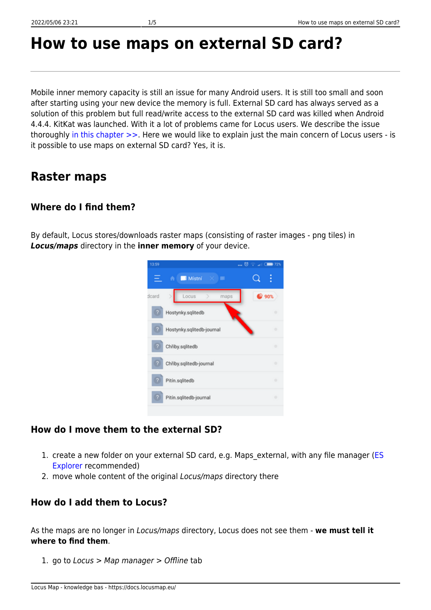# **How to use maps on external SD card?**

Mobile inner memory capacity is still an issue for many Android users. It is still too small and soon after starting using your new device the memory is full. External SD card has always served as a solution of this problem but full read/write access to the external SD card was killed when Android 4.4.4. KitKat was launched. With it a lot of problems came for Locus users. We describe the issue thoroughly [in this chapter >>.](https://docs.locusmap.eu/doku.php?id=manual:faq:use_sdcard_on_kitkat) Here we would like to explain just the main concern of Locus users - is it possible to use maps on external SD card? Yes, it is.

# **Raster maps**

# **Where do I find them?**

By default, Locus stores/downloads raster maps (consisting of raster images - png tiles) in *Locus/maps* directory in the **inner memory** of your device.



## **How do I move them to the external SD?**

- 1. create a new folder on your external SD card, e.g. Maps external, with any file manager ([ES](https://play.google.com/store/apps/details?id=com.estrongs.android.pop) [Explorer](https://play.google.com/store/apps/details?id=com.estrongs.android.pop) recommended)
- 2. move whole content of the original Locus/maps directory there

## **How do I add them to Locus?**

As the maps are no longer in Locus/maps directory, Locus does not see them - **we must tell it where to find them**.

1. go to Locus > Map manager > Offline tab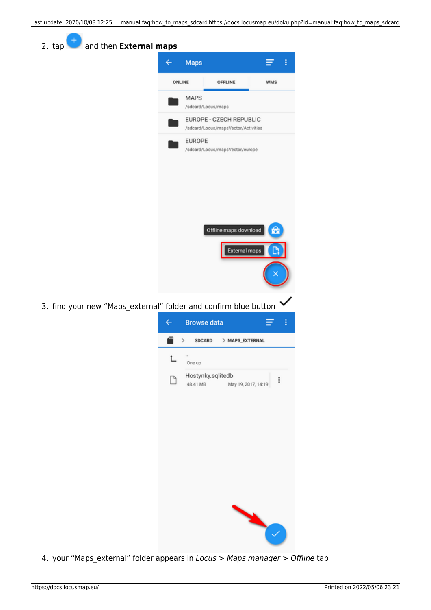| ccupulate. 2020/10/06-12.25 = manual.rag.now_co_maps_sucaru nccps.//uocs.locusmap.eu/uoku.php?iu=manual.rag.now_co_map |                                     |                                                                |          |  |
|------------------------------------------------------------------------------------------------------------------------|-------------------------------------|----------------------------------------------------------------|----------|--|
| and then External maps<br>2. tap                                                                                       |                                     |                                                                |          |  |
|                                                                                                                        | Maps<br>←                           |                                                                | Ξ<br>ŧ   |  |
|                                                                                                                        | ONLINE                              | OFFLINE                                                        | WMS      |  |
|                                                                                                                        | MAPS                                | /sdcard/Locus/maps                                             |          |  |
|                                                                                                                        |                                     | EUROPE - CZECH REPUBLIC<br>/sdcard/Locus/mapsVector/Activities |          |  |
|                                                                                                                        | <b>EUROPE</b>                       |                                                                |          |  |
|                                                                                                                        |                                     | /sdcard/Locus/mapsVector/europe                                |          |  |
|                                                                                                                        |                                     |                                                                |          |  |
|                                                                                                                        |                                     |                                                                |          |  |
|                                                                                                                        |                                     |                                                                |          |  |
|                                                                                                                        |                                     | Offline maps download                                          | 嵒        |  |
|                                                                                                                        |                                     | <b>External maps</b>                                           | Ľ        |  |
|                                                                                                                        |                                     |                                                                |          |  |
|                                                                                                                        |                                     |                                                                |          |  |
| 3. find your new "Maps_external" folder and confirm blue button                                                        |                                     |                                                                |          |  |
|                                                                                                                        | <b>Browse data</b><br>←             |                                                                | ŧ<br>Ξ   |  |
|                                                                                                                        | SDCARD<br>⋋<br>$\ddot{\phantom{0}}$ | > MAPS_EXTERNAL                                                |          |  |
|                                                                                                                        | One up                              | Hostynky.sqlitedb                                              |          |  |
|                                                                                                                        | 48.41 MB                            | May 19, 2017, 14:19                                            | $\vdots$ |  |
|                                                                                                                        |                                     |                                                                |          |  |
|                                                                                                                        |                                     |                                                                |          |  |
|                                                                                                                        |                                     |                                                                |          |  |
|                                                                                                                        |                                     |                                                                |          |  |
|                                                                                                                        |                                     |                                                                |          |  |
|                                                                                                                        |                                     |                                                                |          |  |
|                                                                                                                        |                                     |                                                                |          |  |
|                                                                                                                        |                                     |                                                                |          |  |
|                                                                                                                        |                                     |                                                                |          |  |

4. your "Maps\_external" folder appears in Locus > Maps manager > Offline tab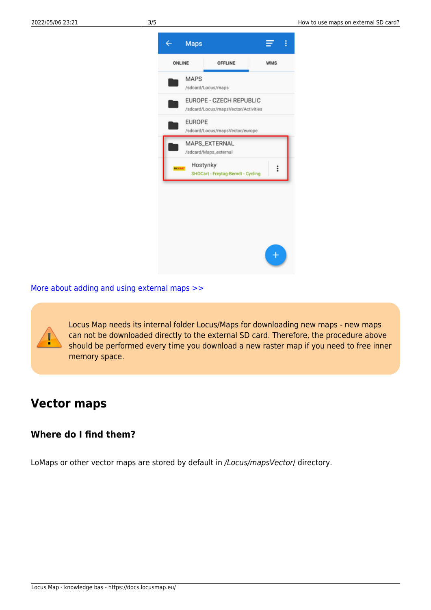

[More about adding and using external maps >>](https://docs.locusmap.eu/doku.php?id=manual:user_guide:maps_external)

Locus Map needs its internal folder Locus/Maps for downloading new maps - new maps can not be downloaded directly to the external SD card. Therefore, the procedure above should be performed every time you download a new raster map if you need to free inner memory space.

# **Vector maps**

## **Where do I find them?**

LoMaps or other vector maps are stored by default in /Locus/mapsVector/ directory.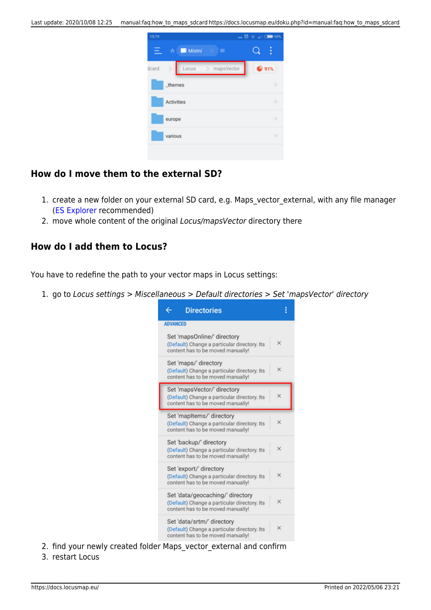

#### **How do I move them to the external SD?**

- 1. create a new folder on your external SD card, e.g. Maps\_vector\_external, with any file manager [\(ES Explorer](https://play.google.com/store/apps/details?id=com.estrongs.android.pop) recommended)
- 2. move whole content of the original Locus/mapsVector directory there

#### **How do I add them to Locus?**

You have to redefine the path to your vector maps in Locus settings:

1. go to Locus settings > Miscellaneous > Default directories > Set 'mapsVector' directory



- 2. find your newly created folder Maps\_vector\_external and confirm
- 3. restart Locus